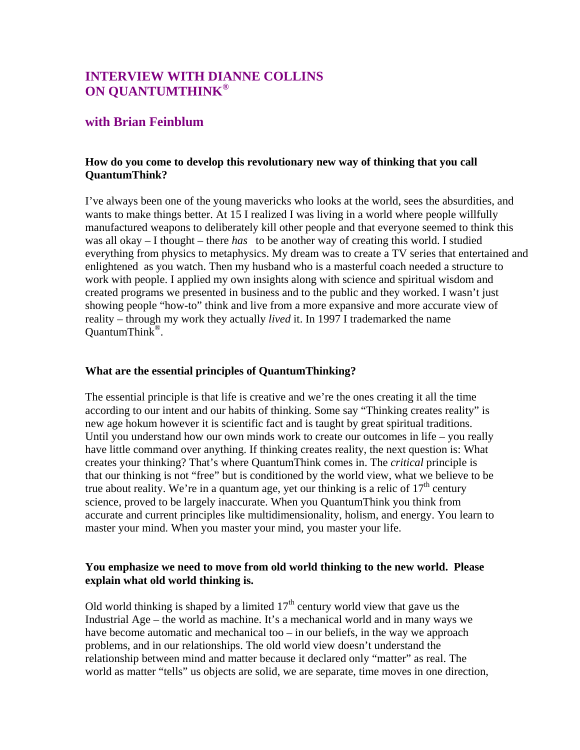# **INTERVIEW WITH DIANNE COLLINS ON QUANTUMTHINK®**

## **with Brian Feinblum**

## **How do you come to develop this revolutionary new way of thinking that you call QuantumThink?**

I've always been one of the young mavericks who looks at the world, sees the absurdities, and wants to make things better. At 15 I realized I was living in a world where people willfully manufactured weapons to deliberately kill other people and that everyone seemed to think this was all okay – I thought – there *has* to be another way of creating this world. I studied everything from physics to metaphysics. My dream was to create a TV series that entertained and enlightened as you watch. Then my husband who is a masterful coach needed a structure to work with people. I applied my own insights along with science and spiritual wisdom and created programs we presented in business and to the public and they worked. I wasn't just showing people "how-to" think and live from a more expansive and more accurate view of reality – through my work they actually *lived* it. In 1997 I trademarked the name QuantumThink®.

#### **What are the essential principles of QuantumThinking?**

The essential principle is that life is creative and we're the ones creating it all the time according to our intent and our habits of thinking. Some say "Thinking creates reality" is new age hokum however it is scientific fact and is taught by great spiritual traditions. Until you understand how our own minds work to create our outcomes in life – you really have little command over anything. If thinking creates reality, the next question is: What creates your thinking? That's where QuantumThink comes in. The *critical* principle is that our thinking is not "free" but is conditioned by the world view, what we believe to be true about reality. We're in a quantum age, yet our thinking is a relic of  $17<sup>th</sup>$  century science, proved to be largely inaccurate. When you QuantumThink you think from accurate and current principles like multidimensionality, holism, and energy. You learn to master your mind. When you master your mind, you master your life.

## **You emphasize we need to move from old world thinking to the new world. Please explain what old world thinking is.**

Old world thinking is shaped by a limited  $17<sup>th</sup>$  century world view that gave us the Industrial Age – the world as machine. It's a mechanical world and in many ways we have become automatic and mechanical too – in our beliefs, in the way we approach problems, and in our relationships. The old world view doesn't understand the relationship between mind and matter because it declared only "matter" as real. The world as matter "tells" us objects are solid, we are separate, time moves in one direction,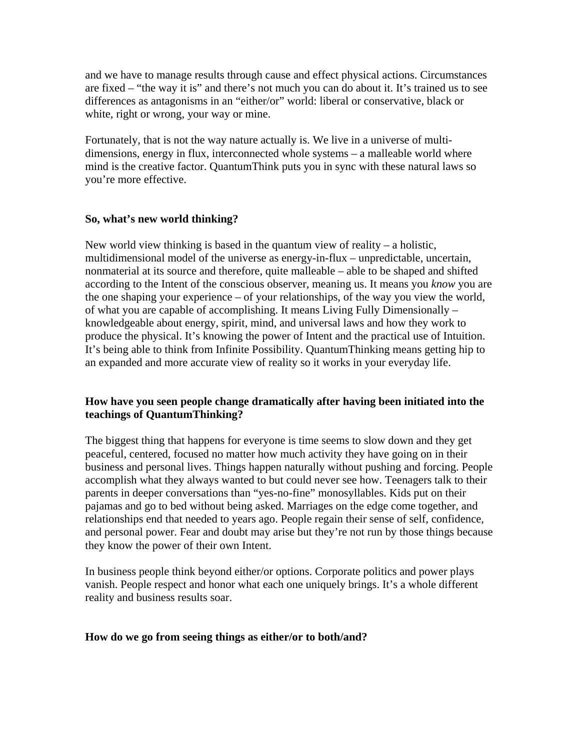and we have to manage results through cause and effect physical actions. Circumstances are fixed – "the way it is" and there's not much you can do about it. It's trained us to see differences as antagonisms in an "either/or" world: liberal or conservative, black or white, right or wrong, your way or mine.

Fortunately, that is not the way nature actually is. We live in a universe of multidimensions, energy in flux, interconnected whole systems – a malleable world where mind is the creative factor. QuantumThink puts you in sync with these natural laws so you're more effective.

## **So, what's new world thinking?**

New world view thinking is based in the quantum view of reality – a holistic, multidimensional model of the universe as energy-in-flux – unpredictable, uncertain, nonmaterial at its source and therefore, quite malleable – able to be shaped and shifted according to the Intent of the conscious observer, meaning us. It means you *know* you are the one shaping your experience – of your relationships, of the way you view the world, of what you are capable of accomplishing. It means Living Fully Dimensionally – knowledgeable about energy, spirit, mind, and universal laws and how they work to produce the physical. It's knowing the power of Intent and the practical use of Intuition. It's being able to think from Infinite Possibility. QuantumThinking means getting hip to an expanded and more accurate view of reality so it works in your everyday life.

## **How have you seen people change dramatically after having been initiated into the teachings of QuantumThinking?**

The biggest thing that happens for everyone is time seems to slow down and they get peaceful, centered, focused no matter how much activity they have going on in their business and personal lives. Things happen naturally without pushing and forcing. People accomplish what they always wanted to but could never see how. Teenagers talk to their parents in deeper conversations than "yes-no-fine" monosyllables. Kids put on their pajamas and go to bed without being asked. Marriages on the edge come together, and relationships end that needed to years ago. People regain their sense of self, confidence, and personal power. Fear and doubt may arise but they're not run by those things because they know the power of their own Intent.

In business people think beyond either/or options. Corporate politics and power plays vanish. People respect and honor what each one uniquely brings. It's a whole different reality and business results soar.

#### **How do we go from seeing things as either/or to both/and?**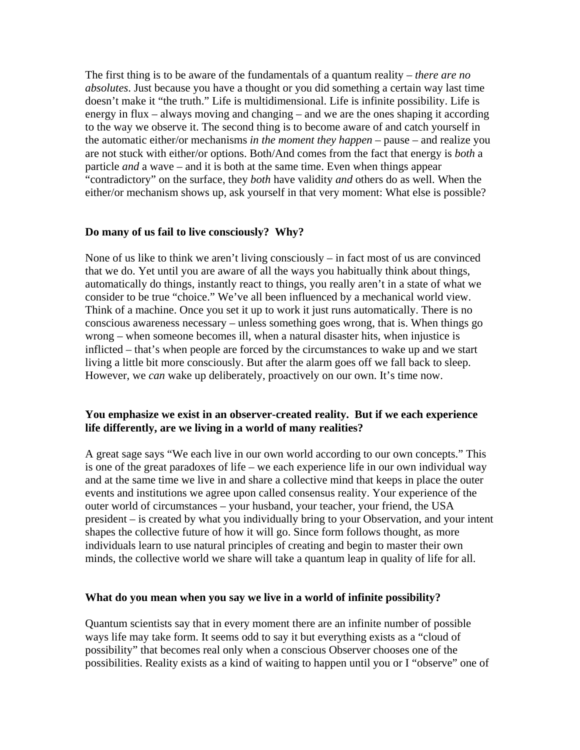The first thing is to be aware of the fundamentals of a quantum reality – *there are no absolutes*. Just because you have a thought or you did something a certain way last time doesn't make it "the truth." Life is multidimensional. Life is infinite possibility. Life is energy in flux – always moving and changing – and we are the ones shaping it according to the way we observe it. The second thing is to become aware of and catch yourself in the automatic either/or mechanisms *in the moment they happen* – pause – and realize you are not stuck with either/or options. Both/And comes from the fact that energy is *both* a particle *and* a wave – and it is both at the same time. Even when things appear "contradictory" on the surface, they *both* have validity *and* others do as well. When the either/or mechanism shows up, ask yourself in that very moment: What else is possible?

#### **Do many of us fail to live consciously? Why?**

None of us like to think we aren't living consciously – in fact most of us are convinced that we do. Yet until you are aware of all the ways you habitually think about things, automatically do things, instantly react to things, you really aren't in a state of what we consider to be true "choice." We've all been influenced by a mechanical world view. Think of a machine. Once you set it up to work it just runs automatically. There is no conscious awareness necessary – unless something goes wrong, that is. When things go wrong – when someone becomes ill, when a natural disaster hits, when injustice is inflicted – that's when people are forced by the circumstances to wake up and we start living a little bit more consciously. But after the alarm goes off we fall back to sleep. However, we *can* wake up deliberately, proactively on our own. It's time now.

#### **You emphasize we exist in an observer-created reality. But if we each experience life differently, are we living in a world of many realities?**

A great sage says "We each live in our own world according to our own concepts." This is one of the great paradoxes of life – we each experience life in our own individual way and at the same time we live in and share a collective mind that keeps in place the outer events and institutions we agree upon called consensus reality. Your experience of the outer world of circumstances – your husband, your teacher, your friend, the USA president – is created by what you individually bring to your Observation, and your intent shapes the collective future of how it will go. Since form follows thought, as more individuals learn to use natural principles of creating and begin to master their own minds, the collective world we share will take a quantum leap in quality of life for all.

#### **What do you mean when you say we live in a world of infinite possibility?**

Quantum scientists say that in every moment there are an infinite number of possible ways life may take form. It seems odd to say it but everything exists as a "cloud of possibility" that becomes real only when a conscious Observer chooses one of the possibilities. Reality exists as a kind of waiting to happen until you or I "observe" one of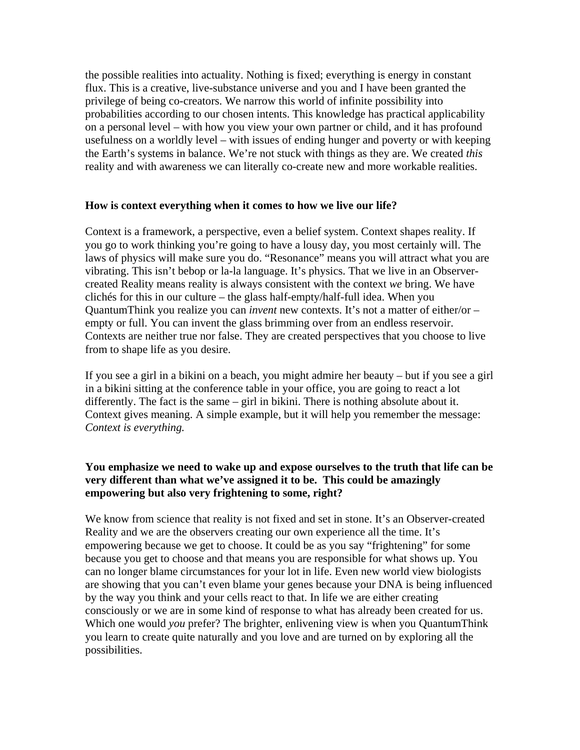the possible realities into actuality. Nothing is fixed; everything is energy in constant flux. This is a creative, live-substance universe and you and I have been granted the privilege of being co-creators. We narrow this world of infinite possibility into probabilities according to our chosen intents. This knowledge has practical applicability on a personal level – with how you view your own partner or child, and it has profound usefulness on a worldly level – with issues of ending hunger and poverty or with keeping the Earth's systems in balance. We're not stuck with things as they are. We created *this* reality and with awareness we can literally co-create new and more workable realities.

#### **How is context everything when it comes to how we live our life?**

Context is a framework, a perspective, even a belief system. Context shapes reality. If you go to work thinking you're going to have a lousy day, you most certainly will. The laws of physics will make sure you do. "Resonance" means you will attract what you are vibrating. This isn't bebop or la-la language. It's physics. That we live in an Observercreated Reality means reality is always consistent with the context *we* bring. We have clichés for this in our culture – the glass half-empty/half-full idea. When you QuantumThink you realize you can *invent* new contexts. It's not a matter of either/or – empty or full. You can invent the glass brimming over from an endless reservoir. Contexts are neither true nor false. They are created perspectives that you choose to live from to shape life as you desire.

If you see a girl in a bikini on a beach, you might admire her beauty – but if you see a girl in a bikini sitting at the conference table in your office, you are going to react a lot differently. The fact is the same – girl in bikini. There is nothing absolute about it. Context gives meaning. A simple example, but it will help you remember the message: *Context is everything.*

## **You emphasize we need to wake up and expose ourselves to the truth that life can be very different than what we've assigned it to be. This could be amazingly empowering but also very frightening to some, right?**

We know from science that reality is not fixed and set in stone. It's an Observer-created Reality and we are the observers creating our own experience all the time. It's empowering because we get to choose. It could be as you say "frightening" for some because you get to choose and that means you are responsible for what shows up. You can no longer blame circumstances for your lot in life. Even new world view biologists are showing that you can't even blame your genes because your DNA is being influenced by the way you think and your cells react to that. In life we are either creating consciously or we are in some kind of response to what has already been created for us. Which one would *you* prefer? The brighter, enlivening view is when you QuantumThink you learn to create quite naturally and you love and are turned on by exploring all the possibilities.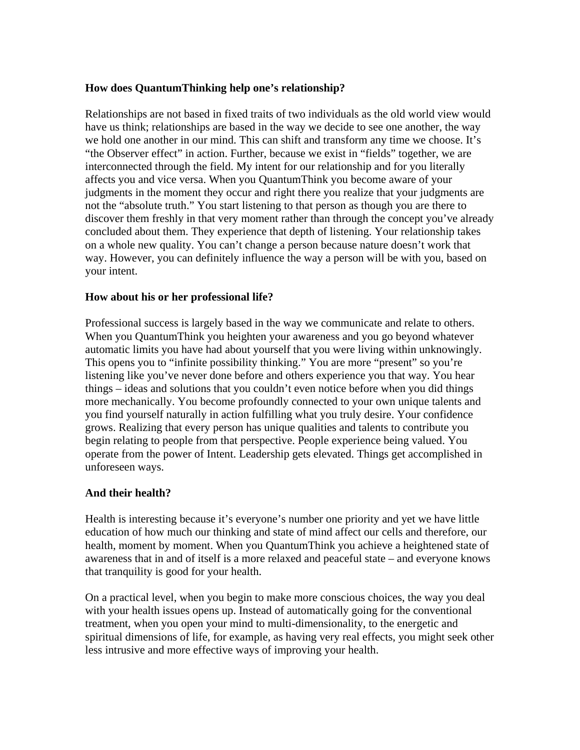## **How does QuantumThinking help one's relationship?**

Relationships are not based in fixed traits of two individuals as the old world view would have us think; relationships are based in the way we decide to see one another, the way we hold one another in our mind. This can shift and transform any time we choose. It's "the Observer effect" in action. Further, because we exist in "fields" together, we are interconnected through the field. My intent for our relationship and for you literally affects you and vice versa. When you QuantumThink you become aware of your judgments in the moment they occur and right there you realize that your judgments are not the "absolute truth." You start listening to that person as though you are there to discover them freshly in that very moment rather than through the concept you've already concluded about them. They experience that depth of listening. Your relationship takes on a whole new quality. You can't change a person because nature doesn't work that way. However, you can definitely influence the way a person will be with you, based on your intent.

## **How about his or her professional life?**

Professional success is largely based in the way we communicate and relate to others. When you QuantumThink you heighten your awareness and you go beyond whatever automatic limits you have had about yourself that you were living within unknowingly. This opens you to "infinite possibility thinking." You are more "present" so you're listening like you've never done before and others experience you that way. You hear things – ideas and solutions that you couldn't even notice before when you did things more mechanically. You become profoundly connected to your own unique talents and you find yourself naturally in action fulfilling what you truly desire. Your confidence grows. Realizing that every person has unique qualities and talents to contribute you begin relating to people from that perspective. People experience being valued. You operate from the power of Intent. Leadership gets elevated. Things get accomplished in unforeseen ways.

#### **And their health?**

Health is interesting because it's everyone's number one priority and yet we have little education of how much our thinking and state of mind affect our cells and therefore, our health, moment by moment. When you QuantumThink you achieve a heightened state of awareness that in and of itself is a more relaxed and peaceful state – and everyone knows that tranquility is good for your health.

On a practical level, when you begin to make more conscious choices, the way you deal with your health issues opens up. Instead of automatically going for the conventional treatment, when you open your mind to multi-dimensionality, to the energetic and spiritual dimensions of life, for example, as having very real effects, you might seek other less intrusive and more effective ways of improving your health.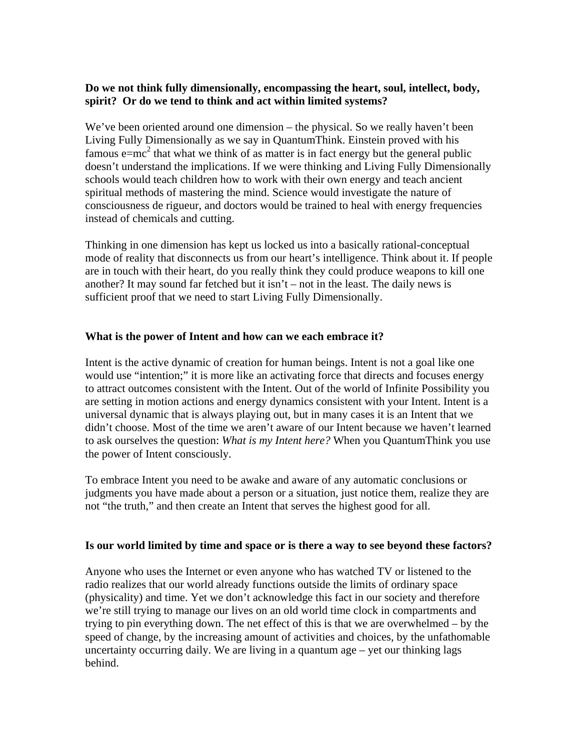## **Do we not think fully dimensionally, encompassing the heart, soul, intellect, body, spirit? Or do we tend to think and act within limited systems?**

We've been oriented around one dimension – the physical. So we really haven't been Living Fully Dimensionally as we say in QuantumThink. Einstein proved with his famous  $e = mc^2$  that what we think of as matter is in fact energy but the general public doesn't understand the implications. If we were thinking and Living Fully Dimensionally schools would teach children how to work with their own energy and teach ancient spiritual methods of mastering the mind. Science would investigate the nature of consciousness de rigueur, and doctors would be trained to heal with energy frequencies instead of chemicals and cutting.

Thinking in one dimension has kept us locked us into a basically rational-conceptual mode of reality that disconnects us from our heart's intelligence. Think about it. If people are in touch with their heart, do you really think they could produce weapons to kill one another? It may sound far fetched but it isn't – not in the least. The daily news is sufficient proof that we need to start Living Fully Dimensionally.

## **What is the power of Intent and how can we each embrace it?**

Intent is the active dynamic of creation for human beings. Intent is not a goal like one would use "intention;" it is more like an activating force that directs and focuses energy to attract outcomes consistent with the Intent. Out of the world of Infinite Possibility you are setting in motion actions and energy dynamics consistent with your Intent. Intent is a universal dynamic that is always playing out, but in many cases it is an Intent that we didn't choose. Most of the time we aren't aware of our Intent because we haven't learned to ask ourselves the question: *What is my Intent here?* When you QuantumThink you use the power of Intent consciously.

To embrace Intent you need to be awake and aware of any automatic conclusions or judgments you have made about a person or a situation, just notice them, realize they are not "the truth," and then create an Intent that serves the highest good for all.

#### **Is our world limited by time and space or is there a way to see beyond these factors?**

Anyone who uses the Internet or even anyone who has watched TV or listened to the radio realizes that our world already functions outside the limits of ordinary space (physicality) and time. Yet we don't acknowledge this fact in our society and therefore we're still trying to manage our lives on an old world time clock in compartments and trying to pin everything down. The net effect of this is that we are overwhelmed – by the speed of change, by the increasing amount of activities and choices, by the unfathomable uncertainty occurring daily. We are living in a quantum age – yet our thinking lags behind.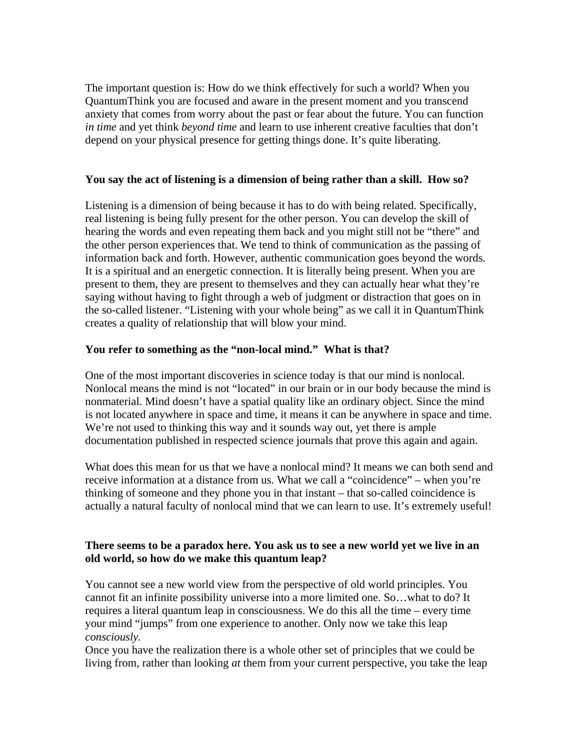The important question is: How do we think effectively for such a world? When you QuantumThink you are focused and aware in the present moment and you transcend anxiety that comes from worry about the past or fear about the future. You can function *in time* and yet think *beyond time* and learn to use inherent creative faculties that don't depend on your physical presence for getting things done. It's quite liberating.

## **You say the act of listening is a dimension of being rather than a skill. How so?**

Listening is a dimension of being because it has to do with being related. Specifically, real listening is being fully present for the other person. You can develop the skill of hearing the words and even repeating them back and you might still not be "there" and the other person experiences that. We tend to think of communication as the passing of information back and forth. However, authentic communication goes beyond the words. It is a spiritual and an energetic connection. It is literally being present. When you are present to them, they are present to themselves and they can actually hear what they're saying without having to fight through a web of judgment or distraction that goes on in the so-called listener. "Listening with your whole being" as we call it in QuantumThink creates a quality of relationship that will blow your mind.

## **You refer to something as the "non-local mind." What is that?**

One of the most important discoveries in science today is that our mind is nonlocal. Nonlocal means the mind is not "located" in our brain or in our body because the mind is nonmaterial. Mind doesn't have a spatial quality like an ordinary object. Since the mind is not located anywhere in space and time, it means it can be anywhere in space and time. We're not used to thinking this way and it sounds way out, yet there is ample documentation published in respected science journals that prove this again and again.

What does this mean for us that we have a nonlocal mind? It means we can both send and receive information at a distance from us. What we call a "coincidence" – when you're thinking of someone and they phone you in that instant – that so-called coincidence is actually a natural faculty of nonlocal mind that we can learn to use. It's extremely useful!

## **There seems to be a paradox here. You ask us to see a new world yet we live in an old world, so how do we make this quantum leap?**

You cannot see a new world view from the perspective of old world principles. You cannot fit an infinite possibility universe into a more limited one. So…what to do? It requires a literal quantum leap in consciousness. We do this all the time – every time your mind "jumps" from one experience to another. Only now we take this leap *consciously.* 

Once you have the realization there is a whole other set of principles that we could be living from, rather than looking *at* them from your current perspective, you take the leap